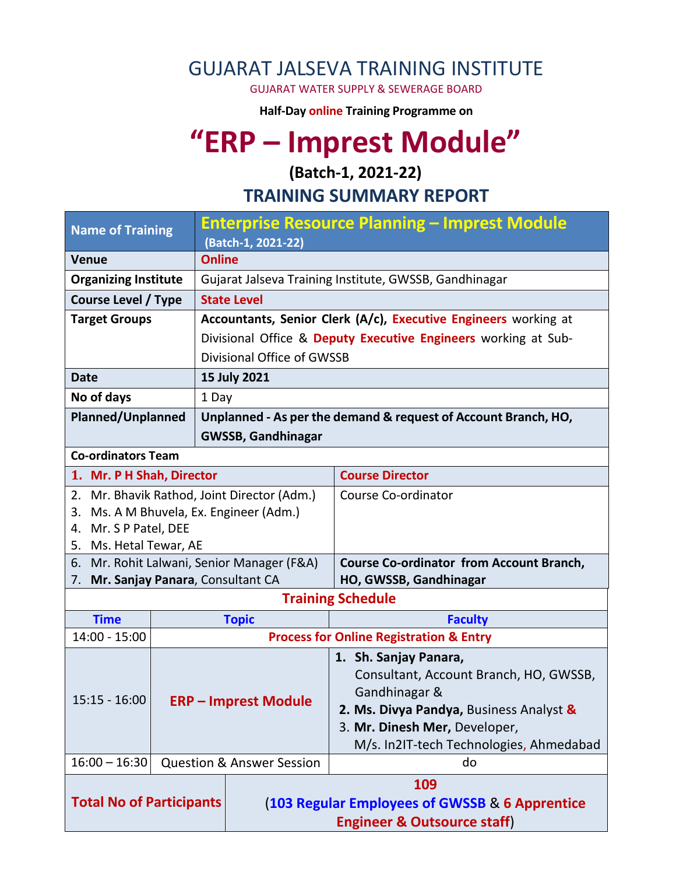## GUJARAT JALSEVA TRAINING INSTITUTE

GUJARAT WATER SUPPLY & SEWERAGE BOARD

**Half-Day online Training Programme on** 

# **"ERP – Imprest Module"**

**(Batch-1, 2021-22)**

**TRAINING SUMMARY REPORT**

| <b>Name of Training</b>                                                        |                             |                                                                 | Enterprise Resource Planning – Imprest Module                             |  |  |
|--------------------------------------------------------------------------------|-----------------------------|-----------------------------------------------------------------|---------------------------------------------------------------------------|--|--|
|                                                                                |                             | (Batch-1, 2021-22)                                              |                                                                           |  |  |
| <b>Venue</b>                                                                   |                             | <b>Online</b>                                                   |                                                                           |  |  |
| <b>Organizing Institute</b>                                                    |                             |                                                                 | Gujarat Jalseva Training Institute, GWSSB, Gandhinagar                    |  |  |
| <b>Course Level / Type</b>                                                     |                             | <b>State Level</b>                                              |                                                                           |  |  |
| <b>Target Groups</b>                                                           |                             | Accountants, Senior Clerk (A/c), Executive Engineers working at |                                                                           |  |  |
|                                                                                |                             | Divisional Office & Deputy Executive Engineers working at Sub-  |                                                                           |  |  |
|                                                                                |                             | Divisional Office of GWSSB                                      |                                                                           |  |  |
| <b>Date</b>                                                                    |                             | 15 July 2021                                                    |                                                                           |  |  |
| No of days                                                                     |                             | 1 Day                                                           |                                                                           |  |  |
| <b>Planned/Unplanned</b>                                                       |                             | Unplanned - As per the demand & request of Account Branch, HO,  |                                                                           |  |  |
|                                                                                |                             | <b>GWSSB, Gandhinagar</b>                                       |                                                                           |  |  |
| <b>Co-ordinators Team</b>                                                      |                             |                                                                 |                                                                           |  |  |
| 1. Mr. P H Shah, Director                                                      |                             |                                                                 | <b>Course Director</b>                                                    |  |  |
| 2. Mr. Bhavik Rathod, Joint Director (Adm.)                                    |                             |                                                                 | Course Co-ordinator                                                       |  |  |
| 3.                                                                             |                             | Ms. A M Bhuvela, Ex. Engineer (Adm.)                            |                                                                           |  |  |
| Mr. S P Patel, DEE<br>4.                                                       |                             |                                                                 |                                                                           |  |  |
| 5. Ms. Hetal Tewar, AE                                                         |                             |                                                                 |                                                                           |  |  |
| 6. Mr. Rohit Lalwani, Senior Manager (F&A)<br>Mr. Sanjay Panara, Consultant CA |                             |                                                                 | <b>Course Co-ordinator from Account Branch,</b><br>HO, GWSSB, Gandhinagar |  |  |
| 7.                                                                             |                             |                                                                 | <b>Training Schedule</b>                                                  |  |  |
| <b>Time</b>                                                                    |                             | <b>Topic</b>                                                    | <b>Faculty</b>                                                            |  |  |
| $14:00 - 15:00$                                                                |                             |                                                                 | <b>Process for Online Registration &amp; Entry</b>                        |  |  |
|                                                                                |                             |                                                                 | 1. Sh. Sanjay Panara,                                                     |  |  |
|                                                                                |                             |                                                                 | Consultant, Account Branch, HO, GWSSB,                                    |  |  |
|                                                                                | <b>ERP - Imprest Module</b> |                                                                 | Gandhinagar &                                                             |  |  |
| $15:15 - 16:00$                                                                |                             |                                                                 | 2. Ms. Divya Pandya, Business Analyst &                                   |  |  |
|                                                                                |                             |                                                                 | 3. Mr. Dinesh Mer, Developer,                                             |  |  |
|                                                                                |                             |                                                                 | M/s. In2IT-tech Technologies, Ahmedabad                                   |  |  |
| $16:00 - 16:30$                                                                |                             | <b>Question &amp; Answer Session</b>                            | do                                                                        |  |  |
| <b>Total No of Participants</b>                                                |                             |                                                                 | 109                                                                       |  |  |
|                                                                                |                             |                                                                 | (103 Regular Employees of GWSSB & 6 Apprentice                            |  |  |
|                                                                                |                             |                                                                 | <b>Engineer &amp; Outsource staff)</b>                                    |  |  |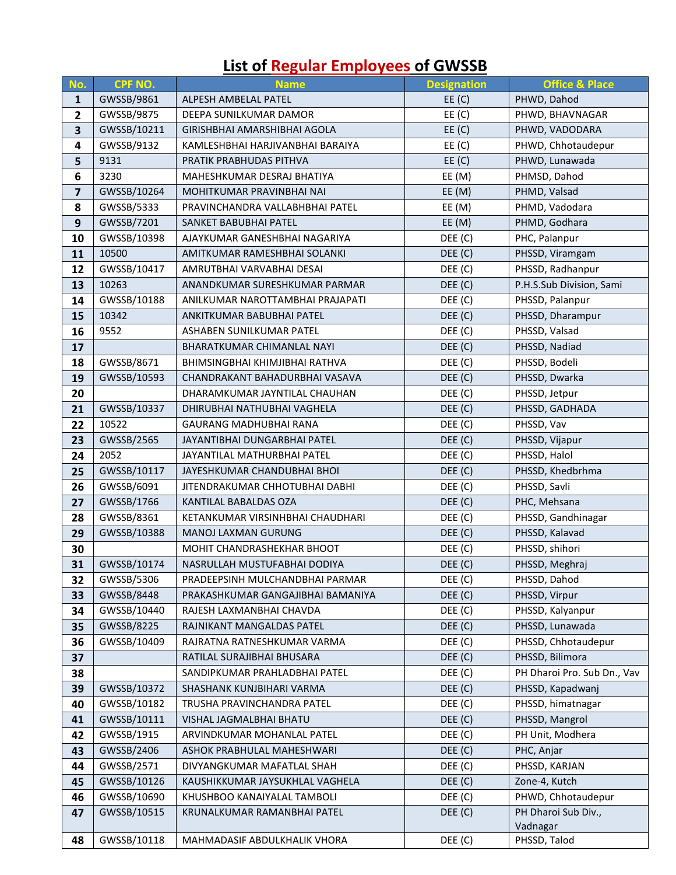#### **No. <b>CPF NO. Name Designation CPF NO. In the Designation CPF NO. In the Designation CPF Office & Place**  GWSSB/9861 ALPESH AMBELAL PATEL EE (C) PHWD, Dahod GWSSB/9875 DEEPA SUNILKUMAR DAMOR **EXAMPLE EE (C)** PHWD, BHAVNAGAR GWSSB/10211 GIRISHBHAI AMARSHIBHAI AGOLA EE (C) PHWD, VADODARA GWSSB/9132 KAMLESHBHAI HARJIVANBHAI BARAIYA EE (C) PHWD, Chhotaudepur 9131 PRATIK PRABHUDAS PITHVA **EE (C)** PHWD, Lunawada 3230 MAHESHKUMAR DESRAJ BHATIYA **EE (M)** PHMSD, Dahod GWSSB/10264 MOHITKUMAR PRAVINBHAI NAI EE (M) PHMD, Valsad GWSSB/5333 PRAVINCHANDRA VALLABHBHAI PATEL EE (M) PHMD, Vadodara GWSSB/7201 SANKET BABUBHAI PATEL EE (M) PHMD, Godhara GWSSB/10398 AJAYKUMAR GANESHBHAI NAGARIYA **DEE (C)** PHC, Palanpur 10500 AMITKUMAR RAMESHBHAI SOLANKI DEE (C) PHSSD, Viramgam 12 GWSSB/10417 | AMRUTBHAI VARVABHAI DESAI **DEE (C)** PHSSD, Radhanpur 13 10263 ANANDKUMAR SURESHKUMAR PARMAR DEE (C) P.H.S.Sub Division, Sami GWSSB/10188 ANILKUMAR NAROTTAMBHAI PRAJAPATI DEE (C) PHSSD, Palanpur 10342 ANKITKUMAR BABUBHAI PATEL DEE (C) PHSSD, Dharampur 9552 ASHABEN SUNILKUMAR PATEL **ASHABEN SUNILKUMAR PATEL** BEG (C) PHSSD, Valsad BHARATKUMAR CHIMANLAL NAYI DEE (C) PHSSD, Nadiad 18 | GWSSB/8671 | BHIMSINGBHAI KHIMJIBHAI RATHVA | DEE (C) | PHSSD, Bodeli 19 GWSSB/10593 CHANDRAKANT BAHADURBHAI VASAVA DEE (C) PHSSD, Dwarka DHARAMKUMAR JAYNTILAL CHAUHAN **DEE** (C) PHSSD, Jetpur GWSSB/10337 DHIRUBHAI NATHUBHAI VAGHELA DEE (C) PHSSD, GADHADA 10522 GAURANG MADHUBHAI RANA DEE (C) PHSSD, Vav GWSSB/2565 JAYANTIBHAI DUNGARBHAI PATEL DEE (C) PHSSD, Vijapur 2052 JAYANTILAL MATHURBHAI PATEL DEE (C) PHSSD, Halol GWSSB/10117 JAYESHKUMAR CHANDUBHAI BHOI **DEE (C)** PHSSD, Khedbrhma GWSSB/6091 JITENDRAKUMAR CHHOTUBHAI DABHI DEE (C) PHSSD, Savli GWSSB/1766 | KANTILAL BABALDAS OZA DEE (C) PHC, Mehsana GWSSB/8361 KETANKUMAR VIRSINHBHAI CHAUDHARI **DEE (C)** PHSSD, Gandhinagar GWSSB/10388 | MANOJ LAXMAN GURUNG DEE (C) DEE (C) PHSSD, Kalavad MOHIT CHANDRASHEKHAR BHOOT **DEE (C)** PHSSD, shihori GWSSB/10174 NASRULLAH MUSTUFABHAI DODIYA DEE (C) PHSSD, Meghraj GWSSB/5306 PRADEEPSINH MULCHANDBHAI PARMAR **DEE (C)** PHSSD, Dahod GWSSB/8448 PRAKASHKUMAR GANGAJIBHAI BAMANIYA PEE (C) PHSSD, Virpur GWSSB/10440 | RAJESH LAXMANBHAI CHAVDA **DEE (C)** PHSSD, Kalyanpur GWSSB/8225 RAJNIKANT MANGALDAS PATEL DEE (C) PHSSD, Lunawada GWSSB/10409 | RAJRATNA RATNESHKUMAR VARMA **DEE (C)** PHSSD, Chhotaudepur RATILAL SURAJIBHAI BHUSARA DEE (C) PHSSD, Bilimora SANDIPKUMAR PRAHLADBHAI PATEL **SANDIPKUMAR PRAHLADBHAI PATEL** DEE (C) PH Dharoi Pro. Sub Dn., Vav GWSSB/10372 SHASHANK KUNJBIHARI VARMA DEE (C) PHSSD, Kapadwanj GWSSB/10182 TRUSHA PRAVINCHANDRA PATEL DEE (C) PHSSD, himatnagar GWSSB/10111 VISHAL JAGMALBHAI BHATU DEE (C) PHSSD, Mangrol GWSSB/1915 ARVINDKUMAR MOHANLAL PATEL **DEE (C)** PH Unit, Modhera GWSSB/2406 ASHOK PRABHULAL MAHESHWARI DEE (C) PHC, Anjar GWSSB/2571 DIVYANGKUMAR MAFATLAL SHAH DEE (C) PHSSD, KARJAN GWSSB/10126 KAUSHIKKUMAR JAYSUKHLAL VAGHELA DEE (C) Zone-4, Kutch GWSSB/10690 KHUSHBOO KANAIYALAL TAMBOLI DEE (C) PHWD, Chhotaudepur GWSSB/10515 KRUNALKUMAR RAMANBHAI PATEL DEE (C) PH Dharoi Sub Div.,

GWSSB/10118 MAHMADASIF ABDULKHALIK VHORA **DEE (C)** PHSSD, Talod

Vadnagar

#### **List of Regular Employees of GWSSB**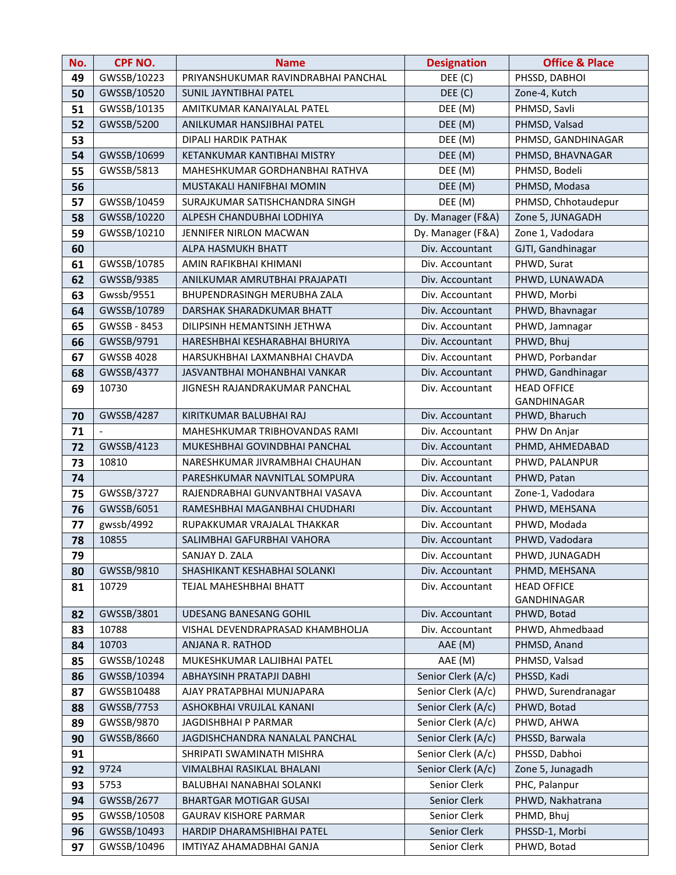| No.      | <b>CPF NO.</b>      | <b>Name</b>                                          | <b>Designation</b>         | <b>Office &amp; Place</b>      |
|----------|---------------------|------------------------------------------------------|----------------------------|--------------------------------|
| 49       | GWSSB/10223         | PRIYANSHUKUMAR RAVINDRABHAI PANCHAL                  | DEE (C)                    | PHSSD, DABHOI                  |
| 50       | GWSSB/10520         | <b>SUNIL JAYNTIBHAI PATEL</b>                        | DEF(C)                     | Zone-4, Kutch                  |
| 51       | GWSSB/10135         | AMITKUMAR KANAIYALAL PATEL<br>DEE (M)                |                            | PHMSD, Savli                   |
| 52       | GWSSB/5200          | DEE (M)<br>ANILKUMAR HANSJIBHAI PATEL                |                            | PHMSD, Valsad                  |
| 53       |                     | DIPALI HARDIK PATHAK                                 | DEE (M)                    | PHMSD, GANDHINAGAR             |
| 54       | GWSSB/10699         | KETANKUMAR KANTIBHAI MISTRY                          | DEE (M)                    | PHMSD, BHAVNAGAR               |
| 55       | GWSSB/5813          | MAHESHKUMAR GORDHANBHAI RATHVA                       | DEE (M)                    | PHMSD, Bodeli                  |
| 56       |                     | MUSTAKALI HANIFBHAI MOMIN                            | DEE (M)                    | PHMSD, Modasa                  |
| 57       | GWSSB/10459         | SURAJKUMAR SATISHCHANDRA SINGH                       | DEE (M)                    | PHMSD, Chhotaudepur            |
| 58       | GWSSB/10220         | ALPESH CHANDUBHAI LODHIYA                            | Dy. Manager (F&A)          | Zone 5, JUNAGADH               |
| 59       | GWSSB/10210         | JENNIFER NIRLON MACWAN                               | Dy. Manager (F&A)          | Zone 1, Vadodara               |
| 60       |                     | ALPA HASMUKH BHATT                                   | Div. Accountant            | GJTI, Gandhinagar              |
| 61       | GWSSB/10785         | AMIN RAFIKBHAI KHIMANI                               | Div. Accountant            | PHWD, Surat                    |
| 62       | GWSSB/9385          | ANILKUMAR AMRUTBHAI PRAJAPATI                        | Div. Accountant            | PHWD, LUNAWADA                 |
| 63       | Gwssb/9551          | BHUPENDRASINGH MERUBHA ZALA                          | Div. Accountant            | PHWD, Morbi                    |
| 64       | GWSSB/10789         | DARSHAK SHARADKUMAR BHATT                            | Div. Accountant            | PHWD, Bhavnagar                |
| 65       | GWSSB - 8453        | DILIPSINH HEMANTSINH JETHWA                          | Div. Accountant            | PHWD, Jamnagar                 |
| 66       | GWSSB/9791          | HARESHBHAI KESHARABHAI BHURIYA                       | Div. Accountant            | PHWD, Bhuj                     |
| 67       | <b>GWSSB 4028</b>   | HARSUKHBHAI LAXMANBHAI CHAVDA                        | Div. Accountant            | PHWD, Porbandar                |
| 68       | GWSSB/4377          | JASVANTBHAI MOHANBHAI VANKAR                         | Div. Accountant            | PHWD, Gandhinagar              |
| 69       | 10730               | JIGNESH RAJANDRAKUMAR PANCHAL                        | Div. Accountant            | <b>HEAD OFFICE</b>             |
|          |                     |                                                      |                            | GANDHINAGAR                    |
| 70       | GWSSB/4287          | KIRITKUMAR BALUBHAI RAJ                              | Div. Accountant            | PHWD, Bharuch                  |
| 71       | $\overline{a}$      | MAHESHKUMAR TRIBHOVANDAS RAMI                        | Div. Accountant            | PHW Dn Anjar                   |
| 72       | GWSSB/4123          | MUKESHBHAI GOVINDBHAI PANCHAL                        | Div. Accountant            | PHMD, AHMEDABAD                |
| 73       | 10810               | NARESHKUMAR JIVRAMBHAI CHAUHAN                       | Div. Accountant            | PHWD, PALANPUR                 |
| 74       |                     | PARESHKUMAR NAVNITLAL SOMPURA                        | Div. Accountant            | PHWD, Patan                    |
| 75       | GWSSB/3727          | RAJENDRABHAI GUNVANTBHAI VASAVA                      | Div. Accountant            | Zone-1, Vadodara               |
| 76       | GWSSB/6051          | RAMESHBHAI MAGANBHAI CHUDHARI                        | Div. Accountant            | PHWD, MEHSANA                  |
| 77       | gwssb/4992          | RUPAKKUMAR VRAJALAL THAKKAR                          | Div. Accountant            | PHWD, Modada                   |
| 78       | 10855               | SALIMBHAI GAFURBHAI VAHORA                           | Div. Accountant            | PHWD, Vadodara                 |
| 79       |                     | SANJAY D. ZALA                                       | Div. Accountant            | PHWD, JUNAGADH                 |
| 80       | GWSSB/9810          | SHASHIKANT KESHABHAI SOLANKI                         | Div. Accountant            | PHMD, MEHSANA                  |
| 81       | 10729               | TEJAL MAHESHBHAI BHATT                               | Div. Accountant            | <b>HEAD OFFICE</b>             |
|          |                     |                                                      |                            | GANDHINAGAR                    |
| 82       | GWSSB/3801<br>10788 | UDESANG BANESANG GOHIL                               | Div. Accountant            | PHWD, Botad<br>PHWD, Ahmedbaad |
| 83       | 10703               | VISHAL DEVENDRAPRASAD KHAMBHOLJA<br>ANJANA R. RATHOD | Div. Accountant<br>AAE (M) | PHMSD, Anand                   |
| 84<br>85 | GWSSB/10248         | MUKESHKUMAR LALJIBHAI PATEL                          | AAE (M)                    | PHMSD, Valsad                  |
| 86       | GWSSB/10394         | ABHAYSINH PRATAPJI DABHI                             | Senior Clerk (A/c)         | PHSSD, Kadi                    |
| 87       | GWSSB10488          | AJAY PRATAPBHAI MUNJAPARA                            | Senior Clerk (A/c)         | PHWD, Surendranagar            |
| 88       | GWSSB/7753          | ASHOKBHAI VRUJLAL KANANI                             | Senior Clerk (A/c)         | PHWD, Botad                    |
| 89       | GWSSB/9870          | JAGDISHBHAI P PARMAR                                 | Senior Clerk (A/c)         | PHWD, AHWA                     |
| 90       | GWSSB/8660          | JAGDISHCHANDRA NANALAL PANCHAL                       | Senior Clerk (A/c)         | PHSSD, Barwala                 |
| 91       |                     | SHRIPATI SWAMINATH MISHRA                            | Senior Clerk (A/c)         | PHSSD, Dabhoi                  |
| 92       | 9724                | VIMALBHAI RASIKLAL BHALANI                           | Senior Clerk (A/c)         | Zone 5, Junagadh               |
| 93       | 5753                | BALUBHAI NANABHAI SOLANKI                            | Senior Clerk               | PHC, Palanpur                  |
| 94       | GWSSB/2677          | <b>BHARTGAR MOTIGAR GUSAI</b>                        | Senior Clerk               | PHWD, Nakhatrana               |
| 95       | GWSSB/10508         | <b>GAURAV KISHORE PARMAR</b>                         | Senior Clerk               | PHMD, Bhuj                     |
| 96       | GWSSB/10493         | HARDIP DHARAMSHIBHAI PATEL                           | Senior Clerk               | PHSSD-1, Morbi                 |
| 97       | GWSSB/10496         | IMTIYAZ AHAMADBHAI GANJA                             | Senior Clerk               | PHWD, Botad                    |